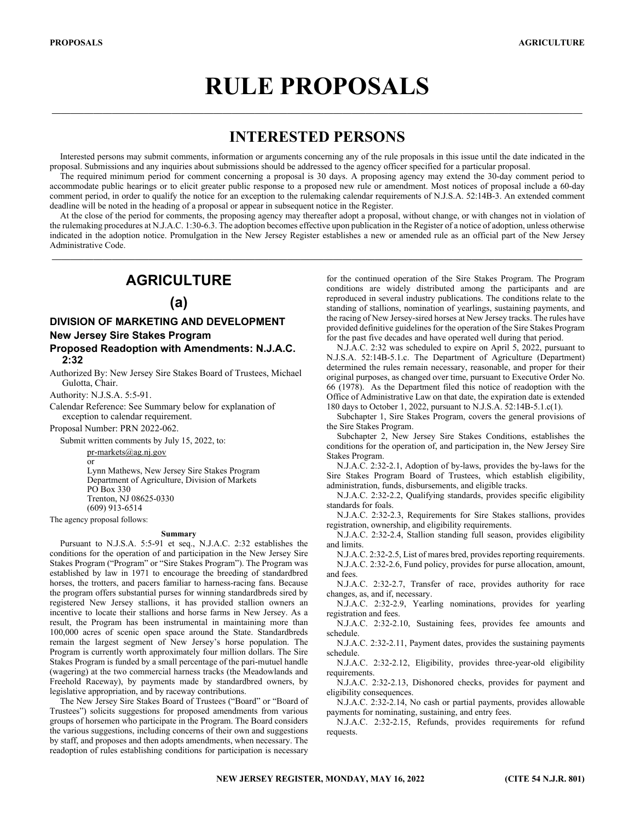# **RULE PROPOSALS**

 $\_$  , and the state of the state of the state of the state of the state of the state of the state of the state of the state of the state of the state of the state of the state of the state of the state of the state of the

# **INTERESTED PERSONS**

Interested persons may submit comments, information or arguments concerning any of the rule proposals in this issue until the date indicated in the proposal. Submissions and any inquiries about submissions should be addressed to the agency officer specified for a particular proposal.

The required minimum period for comment concerning a proposal is 30 days. A proposing agency may extend the 30-day comment period to accommodate public hearings or to elicit greater public response to a proposed new rule or amendment. Most notices of proposal include a 60-day comment period, in order to qualify the notice for an exception to the rulemaking calendar requirements of N.J.S.A. 52:14B-3. An extended comment deadline will be noted in the heading of a proposal or appear in subsequent notice in the Register.

At the close of the period for comments, the proposing agency may thereafter adopt a proposal, without change, or with changes not in violation of the rulemaking procedures at N.J.A.C. 1:30-6.3. The adoption becomes effective upon publication in the Register of a notice of adoption, unless otherwise indicated in the adoption notice. Promulgation in the New Jersey Register establishes a new or amended rule as an official part of the New Jersey Administrative Code.

 $\mathcal{L}_\text{max} = \mathcal{L}_\text{max} = \mathcal{L}_\text{max} = \mathcal{L}_\text{max} = \mathcal{L}_\text{max} = \mathcal{L}_\text{max} = \mathcal{L}_\text{max} = \mathcal{L}_\text{max} = \mathcal{L}_\text{max} = \mathcal{L}_\text{max} = \mathcal{L}_\text{max} = \mathcal{L}_\text{max} = \mathcal{L}_\text{max} = \mathcal{L}_\text{max} = \mathcal{L}_\text{max} = \mathcal{L}_\text{max} = \mathcal{L}_\text{max} = \mathcal{L}_\text{max} = \mathcal{$ 

# **AGRICULTURE**

# **(a)**

# **DIVISION OF MARKETING AND DEVELOPMENT New Jersey Sire Stakes Program Proposed Readoption with Amendments: N.J.A.C.**

**2:32** 

Authorized By: New Jersey Sire Stakes Board of Trustees, Michael Gulotta, Chair.

Authority: N.J.S.A. 5:5-91.

Calendar Reference: See Summary below for explanation of exception to calendar requirement.

Proposal Number: PRN 2022-062.

Submit written comments by July 15, 2022, to:

pr-markets@ag.nj.gov

or Lynn Mathews, New Jersey Sire Stakes Program Department of Agriculture, Division of Markets PO Box 330 Trenton, NJ 08625-0330 (609) 913-6514

The agency proposal follows:

#### **Summary**

Pursuant to N.J.S.A. 5:5-91 et seq., N.J.A.C. 2:32 establishes the conditions for the operation of and participation in the New Jersey Sire Stakes Program ("Program" or "Sire Stakes Program"). The Program was established by law in 1971 to encourage the breeding of standardbred horses, the trotters, and pacers familiar to harness-racing fans. Because the program offers substantial purses for winning standardbreds sired by registered New Jersey stallions, it has provided stallion owners an incentive to locate their stallions and horse farms in New Jersey. As a result, the Program has been instrumental in maintaining more than 100,000 acres of scenic open space around the State. Standardbreds remain the largest segment of New Jersey's horse population. The Program is currently worth approximately four million dollars. The Sire Stakes Program is funded by a small percentage of the pari-mutuel handle (wagering) at the two commercial harness tracks (the Meadowlands and Freehold Raceway), by payments made by standardbred owners, by legislative appropriation, and by raceway contributions.

The New Jersey Sire Stakes Board of Trustees ("Board" or "Board of Trustees") solicits suggestions for proposed amendments from various groups of horsemen who participate in the Program. The Board considers the various suggestions, including concerns of their own and suggestions by staff, and proposes and then adopts amendments, when necessary. The readoption of rules establishing conditions for participation is necessary

for the continued operation of the Sire Stakes Program. The Program conditions are widely distributed among the participants and are reproduced in several industry publications. The conditions relate to the standing of stallions, nomination of yearlings, sustaining payments, and the racing of New Jersey-sired horses at New Jersey tracks. The rules have provided definitive guidelines for the operation of the Sire Stakes Program for the past five decades and have operated well during that period.

N.J.A.C. 2:32 was scheduled to expire on April 5, 2022, pursuant to N.J.S.A. 52:14B-5.1.c. The Department of Agriculture (Department) determined the rules remain necessary, reasonable, and proper for their original purposes, as changed over time, pursuant to Executive Order No. 66 (1978). As the Department filed this notice of readoption with the Office of Administrative Law on that date, the expiration date is extended 180 days to October 1, 2022, pursuant to N.J.S.A. 52:14B-5.1.c(1).

Subchapter 1, Sire Stakes Program, covers the general provisions of the Sire Stakes Program.

Subchapter 2, New Jersey Sire Stakes Conditions, establishes the conditions for the operation of, and participation in, the New Jersey Sire Stakes Program.

N.J.A.C. 2:32-2.1, Adoption of by-laws, provides the by-laws for the Sire Stakes Program Board of Trustees, which establish eligibility, administration, funds, disbursements, and eligible tracks.

N.J.A.C. 2:32-2.2, Qualifying standards, provides specific eligibility standards for foals.

N.J.A.C. 2:32-2.3, Requirements for Sire Stakes stallions, provides registration, ownership, and eligibility requirements.

N.J.A.C. 2:32-2.4, Stallion standing full season, provides eligibility and limits.

N.J.A.C. 2:32-2.5, List of mares bred, provides reporting requirements.

N.J.A.C. 2:32-2.6, Fund policy, provides for purse allocation, amount, and fees.

N.J.A.C. 2:32-2.7, Transfer of race, provides authority for race changes, as, and if, necessary.

N.J.A.C. 2:32-2.9, Yearling nominations, provides for yearling registration and fees.

N.J.A.C. 2:32-2.10, Sustaining fees, provides fee amounts and schedule.

N.J.A.C. 2:32-2.11, Payment dates, provides the sustaining payments schedule.

N.J.A.C. 2:32-2.12, Eligibility, provides three-year-old eligibility requirements.

N.J.A.C. 2:32-2.13, Dishonored checks, provides for payment and eligibility consequences.

N.J.A.C. 2:32-2.14, No cash or partial payments, provides allowable payments for nominating, sustaining, and entry fees.

N.J.A.C. 2:32-2.15, Refunds, provides requirements for refund requests.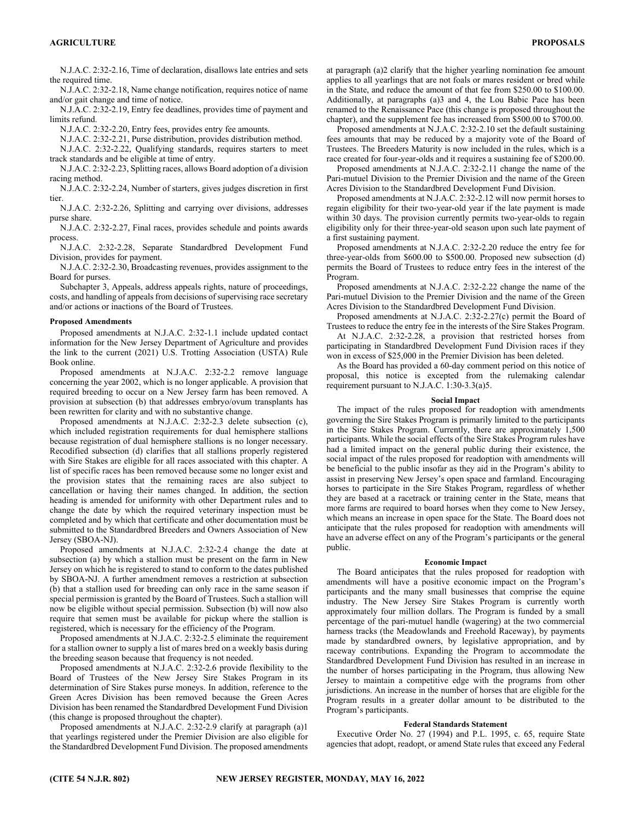N.J.A.C. 2:32-2.16, Time of declaration, disallows late entries and sets the required time.

N.J.A.C. 2:32-2.18, Name change notification, requires notice of name and/or gait change and time of notice.

N.J.A.C. 2:32-2.19, Entry fee deadlines, provides time of payment and limits refund.

N.J.A.C. 2:32-2.20, Entry fees, provides entry fee amounts.

N.J.A.C. 2:32-2.21, Purse distribution, provides distribution method.

N.J.A.C. 2:32-2.22, Qualifying standards, requires starters to meet track standards and be eligible at time of entry.

N.J.A.C. 2:32-2.23, Splitting races, allows Board adoption of a division racing method.

N.J.A.C. 2:32-2.24, Number of starters, gives judges discretion in first tier.

N.J.A.C. 2:32-2.26, Splitting and carrying over divisions, addresses purse share.

N.J.A.C. 2:32-2.27, Final races, provides schedule and points awards process.

N.J.A.C. 2:32-2.28, Separate Standardbred Development Fund Division, provides for payment.

N.J.A.C. 2:32-2.30, Broadcasting revenues, provides assignment to the Board for purses.

Subchapter 3, Appeals, address appeals rights, nature of proceedings, costs, and handling of appeals from decisions of supervising race secretary and/or actions or inactions of the Board of Trustees.

## **Proposed Amendments**

Proposed amendments at N.J.A.C. 2:32-1.1 include updated contact information for the New Jersey Department of Agriculture and provides the link to the current (2021) U.S. Trotting Association (USTA) Rule Book online.

Proposed amendments at N.J.A.C. 2:32-2.2 remove language concerning the year 2002, which is no longer applicable. A provision that required breeding to occur on a New Jersey farm has been removed. A provision at subsection (b) that addresses embryo/ovum transplants has been rewritten for clarity and with no substantive change.

Proposed amendments at N.J.A.C. 2:32-2.3 delete subsection (c), which included registration requirements for dual hemisphere stallions because registration of dual hemisphere stallions is no longer necessary. Recodified subsection (d) clarifies that all stallions properly registered with Sire Stakes are eligible for all races associated with this chapter. A list of specific races has been removed because some no longer exist and the provision states that the remaining races are also subject to cancellation or having their names changed. In addition, the section heading is amended for uniformity with other Department rules and to change the date by which the required veterinary inspection must be completed and by which that certificate and other documentation must be submitted to the Standardbred Breeders and Owners Association of New Jersey (SBOA-NJ).

Proposed amendments at N.J.A.C. 2:32-2.4 change the date at subsection (a) by which a stallion must be present on the farm in New Jersey on which he is registered to stand to conform to the dates published by SBOA-NJ. A further amendment removes a restriction at subsection (b) that a stallion used for breeding can only race in the same season if special permission is granted by the Board of Trustees. Such a stallion will now be eligible without special permission. Subsection (b) will now also require that semen must be available for pickup where the stallion is registered, which is necessary for the efficiency of the Program.

Proposed amendments at N.J.A.C. 2:32-2.5 eliminate the requirement for a stallion owner to supply a list of mares bred on a weekly basis during the breeding season because that frequency is not needed.

Proposed amendments at N.J.A.C. 2:32-2.6 provide flexibility to the Board of Trustees of the New Jersey Sire Stakes Program in its determination of Sire Stakes purse moneys. In addition, reference to the Green Acres Division has been removed because the Green Acres Division has been renamed the Standardbred Development Fund Division (this change is proposed throughout the chapter).

Proposed amendments at N.J.A.C. 2:32-2.9 clarify at paragraph (a)1 that yearlings registered under the Premier Division are also eligible for the Standardbred Development Fund Division. The proposed amendments

at paragraph (a)2 clarify that the higher yearling nomination fee amount applies to all yearlings that are not foals or mares resident or bred while in the State, and reduce the amount of that fee from \$250.00 to \$100.00. Additionally, at paragraphs (a)3 and 4, the Lou Babic Pace has been renamed to the Renaissance Pace (this change is proposed throughout the chapter), and the supplement fee has increased from \$500.00 to \$700.00.

Proposed amendments at N.J.A.C. 2:32-2.10 set the default sustaining fees amounts that may be reduced by a majority vote of the Board of Trustees. The Breeders Maturity is now included in the rules, which is a race created for four-year-olds and it requires a sustaining fee of \$200.00.

Proposed amendments at N.J.A.C. 2:32-2.11 change the name of the Pari-mutuel Division to the Premier Division and the name of the Green Acres Division to the Standardbred Development Fund Division.

Proposed amendments at N.J.A.C. 2:32-2.12 will now permit horses to regain eligibility for their two-year-old year if the late payment is made within 30 days. The provision currently permits two-year-olds to regain eligibility only for their three-year-old season upon such late payment of a first sustaining payment.

Proposed amendments at N.J.A.C. 2:32-2.20 reduce the entry fee for three-year-olds from \$600.00 to \$500.00. Proposed new subsection (d) permits the Board of Trustees to reduce entry fees in the interest of the Program.

Proposed amendments at N.J.A.C. 2:32-2.22 change the name of the Pari-mutuel Division to the Premier Division and the name of the Green Acres Division to the Standardbred Development Fund Division.

Proposed amendments at N.J.A.C. 2:32-2.27(c) permit the Board of Trustees to reduce the entry fee in the interests of the Sire Stakes Program.

At N.J.A.C. 2:32-2.28, a provision that restricted horses from participating in Standardbred Development Fund Division races if they won in excess of \$25,000 in the Premier Division has been deleted.

As the Board has provided a 60-day comment period on this notice of proposal, this notice is excepted from the rulemaking calendar requirement pursuant to N.J.A.C. 1:30-3.3(a)5.

## **Social Impact**

The impact of the rules proposed for readoption with amendments governing the Sire Stakes Program is primarily limited to the participants in the Sire Stakes Program. Currently, there are approximately 1,500 participants. While the social effects of the Sire Stakes Program rules have had a limited impact on the general public during their existence, the social impact of the rules proposed for readoption with amendments will be beneficial to the public insofar as they aid in the Program's ability to assist in preserving New Jersey's open space and farmland. Encouraging horses to participate in the Sire Stakes Program, regardless of whether they are based at a racetrack or training center in the State, means that more farms are required to board horses when they come to New Jersey, which means an increase in open space for the State. The Board does not anticipate that the rules proposed for readoption with amendments will have an adverse effect on any of the Program's participants or the general public.

## **Economic Impact**

The Board anticipates that the rules proposed for readoption with amendments will have a positive economic impact on the Program's participants and the many small businesses that comprise the equine industry. The New Jersey Sire Stakes Program is currently worth approximately four million dollars. The Program is funded by a small percentage of the pari-mutuel handle (wagering) at the two commercial harness tracks (the Meadowlands and Freehold Raceway), by payments made by standardbred owners, by legislative appropriation, and by raceway contributions. Expanding the Program to accommodate the Standardbred Development Fund Division has resulted in an increase in the number of horses participating in the Program, thus allowing New Jersey to maintain a competitive edge with the programs from other jurisdictions. An increase in the number of horses that are eligible for the Program results in a greater dollar amount to be distributed to the Program's participants.

# **Federal Standards Statement**

Executive Order No. 27 (1994) and P.L. 1995, c. 65, require State agencies that adopt, readopt, or amend State rules that exceed any Federal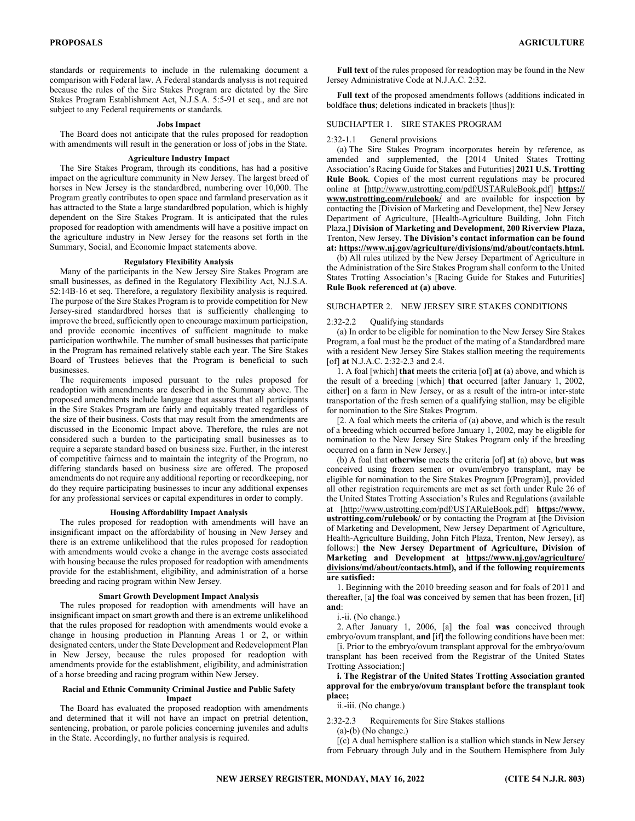standards or requirements to include in the rulemaking document a comparison with Federal law. A Federal standards analysis is not required because the rules of the Sire Stakes Program are dictated by the Sire Stakes Program Establishment Act, N.J.S.A. 5:5-91 et seq., and are not subject to any Federal requirements or standards.

#### **Jobs Impact**

The Board does not anticipate that the rules proposed for readoption with amendments will result in the generation or loss of jobs in the State.

## **Agriculture Industry Impact**

The Sire Stakes Program, through its conditions, has had a positive impact on the agriculture community in New Jersey. The largest breed of horses in New Jersey is the standardbred, numbering over 10,000. The Program greatly contributes to open space and farmland preservation as it has attracted to the State a large standardbred population, which is highly dependent on the Sire Stakes Program. It is anticipated that the rules proposed for readoption with amendments will have a positive impact on the agriculture industry in New Jersey for the reasons set forth in the Summary, Social, and Economic Impact statements above.

# **Regulatory Flexibility Analysis**

Many of the participants in the New Jersey Sire Stakes Program are small businesses, as defined in the Regulatory Flexibility Act, N.J.S.A. 52:14B-16 et seq. Therefore, a regulatory flexibility analysis is required. The purpose of the Sire Stakes Program is to provide competition for New Jersey-sired standardbred horses that is sufficiently challenging to improve the breed, sufficiently open to encourage maximum participation, and provide economic incentives of sufficient magnitude to make participation worthwhile. The number of small businesses that participate in the Program has remained relatively stable each year. The Sire Stakes Board of Trustees believes that the Program is beneficial to such businesses.

The requirements imposed pursuant to the rules proposed for readoption with amendments are described in the Summary above. The proposed amendments include language that assures that all participants in the Sire Stakes Program are fairly and equitably treated regardless of the size of their business. Costs that may result from the amendments are discussed in the Economic Impact above. Therefore, the rules are not considered such a burden to the participating small businesses as to require a separate standard based on business size. Further, in the interest of competitive fairness and to maintain the integrity of the Program, no differing standards based on business size are offered. The proposed amendments do not require any additional reporting or recordkeeping, nor do they require participating businesses to incur any additional expenses for any professional services or capital expenditures in order to comply.

# **Housing Affordability Impact Analysis**

The rules proposed for readoption with amendments will have an insignificant impact on the affordability of housing in New Jersey and there is an extreme unlikelihood that the rules proposed for readoption with amendments would evoke a change in the average costs associated with housing because the rules proposed for readoption with amendments provide for the establishment, eligibility, and administration of a horse breeding and racing program within New Jersey.

#### **Smart Growth Development Impact Analysis**

The rules proposed for readoption with amendments will have an insignificant impact on smart growth and there is an extreme unlikelihood that the rules proposed for readoption with amendments would evoke a change in housing production in Planning Areas 1 or 2, or within designated centers, under the State Development and Redevelopment Plan in New Jersey, because the rules proposed for readoption with amendments provide for the establishment, eligibility, and administration of a horse breeding and racing program within New Jersey.

#### **Racial and Ethnic Community Criminal Justice and Public Safety Impact**

The Board has evaluated the proposed readoption with amendments and determined that it will not have an impact on pretrial detention, sentencing, probation, or parole policies concerning juveniles and adults in the State. Accordingly, no further analysis is required.

**Full text** of the rules proposed for readoption may be found in the New Jersey Administrative Code at N.J.A.C. 2:32.

**Full text** of the proposed amendments follows (additions indicated in boldface **thus**; deletions indicated in brackets [thus]):

# SUBCHAPTER 1. SIRE STAKES PROGRAM

#### 2:32-1.1 General provisions

(a) The Sire Stakes Program incorporates herein by reference, as amended and supplemented, the [2014 United States Trotting Association's Racing Guide for Stakes and Futurities] **2021 U.S. Trotting Rule Book**. Copies of the most current regulations may be procured online at [http://www.ustrotting.com/pdf/USTARuleBook.pdf] **https:// www.ustrotting.com/rulebook/** and are available for inspection by contacting the [Division of Marketing and Development, the] New Jersey Department of Agriculture, [Health-Agriculture Building, John Fitch Plaza,] **Division of Marketing and Development, 200 Riverview Plaza,**  Trenton, New Jersey. **The Division's contact information can be found at: https://www.nj.gov/agriculture/divisions/md/about/contacts.html.**

(b) All rules utilized by the New Jersey Department of Agriculture in the Administration of the Sire Stakes Program shall conform to the United States Trotting Association's [Racing Guide for Stakes and Futurities] **Rule Book referenced at (a) above**.

# SUBCHAPTER 2. NEW JERSEY SIRE STAKES CONDITIONS

#### 2:32-2.2 Qualifying standards

(a) In order to be eligible for nomination to the New Jersey Sire Stakes Program, a foal must be the product of the mating of a Standardbred mare with a resident New Jersey Sire Stakes stallion meeting the requirements [of] **at** N.J.A.C. 2:32-2.3 and 2.4.

1. A foal [which] **that** meets the criteria [of] **at** (a) above, and which is the result of a breeding [which] **that** occurred [after January 1, 2002, either] on a farm in New Jersey, or as a result of the intra-or inter-state transportation of the fresh semen of a qualifying stallion, may be eligible for nomination to the Sire Stakes Program.

[2. A foal which meets the criteria of (a) above, and which is the result of a breeding which occurred before January 1, 2002, may be eligible for nomination to the New Jersey Sire Stakes Program only if the breeding occurred on a farm in New Jersey.]

(b) A foal that **otherwise** meets the criteria [of] **at** (a) above, **but was** conceived using frozen semen or ovum/embryo transplant, may be eligible for nomination to the Sire Stakes Program [(Program)], provided all other registration requirements are met as set forth under Rule 26 of the United States Trotting Association's Rules and Regulations (available at [http://www.ustrotting.com/pdf/USTARuleBook.pdf] **https://www. ustrotting.com/rulebook/** or by contacting the Program at [the Division of Marketing and Development, New Jersey Department of Agriculture, Health-Agriculture Building, John Fitch Plaza, Trenton, New Jersey), as follows:] **the New Jersey Department of Agriculture, Division of Marketing and Development at https://www.nj.gov/agriculture/ divisions/md/about/contacts.html), and if the following requirements are satisfied:**

1. Beginning with the 2010 breeding season and for foals of 2011 and thereafter, [a] **the** foal **was** conceived by semen that has been frozen, [if] **and**:

i.-ii. (No change.)

2. After January 1, 2006, [a] **the** foal **was** conceived through embryo/ovum transplant, **and** [if] the following conditions have been met:

[i. Prior to the embryo/ovum transplant approval for the embryo/ovum transplant has been received from the Registrar of the United States Trotting Association;]

# **i. The Registrar of the United States Trotting Association granted approval for the embryo/ovum transplant before the transplant took place;**

ii.-iii. (No change.)

2:32-2.3 Requirements for Sire Stakes stallions

(a)-(b) (No change.)

[(c) A dual hemisphere stallion is a stallion which stands in New Jersey from February through July and in the Southern Hemisphere from July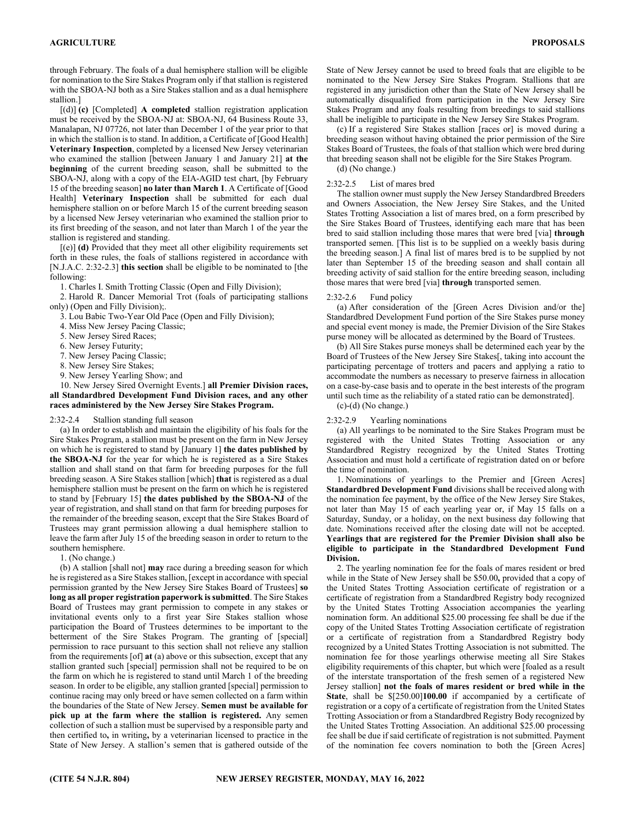through February. The foals of a dual hemisphere stallion will be eligible for nomination to the Sire Stakes Program only if that stallion is registered with the SBOA-NJ both as a Sire Stakes stallion and as a dual hemisphere stallion.]

[(d)] **(c)** [Completed] **A completed** stallion registration application must be received by the SBOA-NJ at: SBOA-NJ, 64 Business Route 33, Manalapan, NJ 07726, not later than December 1 of the year prior to that in which the stallion is to stand. In addition, a Certificate of [Good Health] **Veterinary Inspection**, completed by a licensed New Jersey veterinarian who examined the stallion [between January 1 and January 21] **at the beginning** of the current breeding season, shall be submitted to the SBOA-NJ, along with a copy of the EIA-AGID test chart, [by February 15 of the breeding season] **no later than March 1**. A Certificate of [Good Health] **Veterinary Inspection** shall be submitted for each dual hemisphere stallion on or before March 15 of the current breeding season by a licensed New Jersey veterinarian who examined the stallion prior to its first breeding of the season, and not later than March 1 of the year the stallion is registered and standing.

[(e)] **(d)** Provided that they meet all other eligibility requirements set forth in these rules, the foals of stallions registered in accordance with [N.J.A.C. 2:32-2.3] **this section** shall be eligible to be nominated to [the following:

1. Charles I. Smith Trotting Classic (Open and Filly Division);

2. Harold R. Dancer Memorial Trot (foals of participating stallions only) (Open and Filly Division);.

3. Lou Babic Two-Year Old Pace (Open and Filly Division);

- 4. Miss New Jersey Pacing Classic;
- 5. New Jersey Sired Races;
- 6. New Jersey Futurity;
- 7. New Jersey Pacing Classic;
- 8. New Jersey Sire Stakes;
- 9. New Jersey Yearling Show; and

10. New Jersey Sired Overnight Events.] **all Premier Division races, all Standardbred Development Fund Division races, and any other races administered by the New Jersey Sire Stakes Program.** 

# 2:32-2.4 Stallion standing full season

(a) In order to establish and maintain the eligibility of his foals for the Sire Stakes Program, a stallion must be present on the farm in New Jersey on which he is registered to stand by [January 1] **the dates published by the SBOA-NJ** for the year for which he is registered as a Sire Stakes stallion and shall stand on that farm for breeding purposes for the full breeding season. A Sire Stakes stallion [which] **that** is registered as a dual hemisphere stallion must be present on the farm on which he is registered to stand by [February 15] **the dates published by the SBOA-NJ** of the year of registration, and shall stand on that farm for breeding purposes for the remainder of the breeding season, except that the Sire Stakes Board of Trustees may grant permission allowing a dual hemisphere stallion to leave the farm after July 15 of the breeding season in order to return to the southern hemisphere.

1. (No change.)

(b) A stallion [shall not] **may** race during a breeding season for which he is registered as a Sire Stakes stallion, [except in accordance with special permission granted by the New Jersey Sire Stakes Board of Trustees] **so long as all proper registration paperwork is submitted**. The Sire Stakes Board of Trustees may grant permission to compete in any stakes or invitational events only to a first year Sire Stakes stallion whose participation the Board of Trustees determines to be important to the betterment of the Sire Stakes Program. The granting of [special] permission to race pursuant to this section shall not relieve any stallion from the requirements [of] **at** (a) above or this subsection, except that any stallion granted such [special] permission shall not be required to be on the farm on which he is registered to stand until March 1 of the breeding season. In order to be eligible, any stallion granted [special] permission to continue racing may only breed or have semen collected on a farm within the boundaries of the State of New Jersey. **Semen must be available for pick up at the farm where the stallion is registered.** Any semen collection of such a stallion must be supervised by a responsible party and then certified to**,** in writing**,** by a veterinarian licensed to practice in the State of New Jersey. A stallion's semen that is gathered outside of the

State of New Jersey cannot be used to breed foals that are eligible to be nominated to the New Jersey Sire Stakes Program. Stallions that are registered in any jurisdiction other than the State of New Jersey shall be automatically disqualified from participation in the New Jersey Sire Stakes Program and any foals resulting from breedings to said stallions shall be ineligible to participate in the New Jersey Sire Stakes Program.

(c) If a registered Sire Stakes stallion [races or] is moved during a breeding season without having obtained the prior permission of the Sire Stakes Board of Trustees, the foals of that stallion which were bred during that breeding season shall not be eligible for the Sire Stakes Program.

(d) (No change.)

# 2:32-2.5 List of mares bred

The stallion owner must supply the New Jersey Standardbred Breeders and Owners Association, the New Jersey Sire Stakes, and the United States Trotting Association a list of mares bred, on a form prescribed by the Sire Stakes Board of Trustees, identifying each mare that has been bred to said stallion including those mares that were bred [via] **through** transported semen. [This list is to be supplied on a weekly basis during the breeding season.] A final list of mares bred is to be supplied by not later than September 15 of the breeding season and shall contain all breeding activity of said stallion for the entire breeding season, including those mares that were bred [via] **through** transported semen.

#### 2:32-2.6 Fund policy

(a) After consideration of the [Green Acres Division and/or the] Standardbred Development Fund portion of the Sire Stakes purse money and special event money is made, the Premier Division of the Sire Stakes purse money will be allocated as determined by the Board of Trustees.

(b) All Sire Stakes purse moneys shall be determined each year by the Board of Trustees of the New Jersey Sire Stakes[, taking into account the participating percentage of trotters and pacers and applying a ratio to accommodate the numbers as necessary to preserve fairness in allocation on a case-by-case basis and to operate in the best interests of the program until such time as the reliability of a stated ratio can be demonstrated].

(c)-(d) (No change.)

# 2:32-2.9 Yearling nominations

(a) All yearlings to be nominated to the Sire Stakes Program must be registered with the United States Trotting Association or any Standardbred Registry recognized by the United States Trotting Association and must hold a certificate of registration dated on or before the time of nomination.

1. Nominations of yearlings to the Premier and [Green Acres] Standardbred Development Fund divisions shall be received along with the nomination fee payment, by the office of the New Jersey Sire Stakes, not later than May 15 of each yearling year or, if May 15 falls on a Saturday, Sunday, or a holiday, on the next business day following that date. Nominations received after the closing date will not be accepted. **Yearlings that are registered for the Premier Division shall also be eligible to participate in the Standardbred Development Fund Division.**

2. The yearling nomination fee for the foals of mares resident or bred while in the State of New Jersey shall be \$50.00**,** provided that a copy of the United States Trotting Association certificate of registration or a certificate of registration from a Standardbred Registry body recognized by the United States Trotting Association accompanies the yearling nomination form. An additional \$25.00 processing fee shall be due if the copy of the United States Trotting Association certificate of registration or a certificate of registration from a Standardbred Registry body recognized by a United States Trotting Association is not submitted. The nomination fee for those yearlings otherwise meeting all Sire Stakes eligibility requirements of this chapter, but which were [foaled as a result of the interstate transportation of the fresh semen of a registered New Jersey stallion] **not the foals of mares resident or bred while in the State**, shall be \$[250.00]**100.00** if accompanied by a certificate of registration or a copy of a certificate of registration from the United States Trotting Association or from a Standardbred Registry Body recognized by the United States Trotting Association. An additional \$25.00 processing fee shall be due if said certificate of registration is not submitted. Payment of the nomination fee covers nomination to both the [Green Acres]